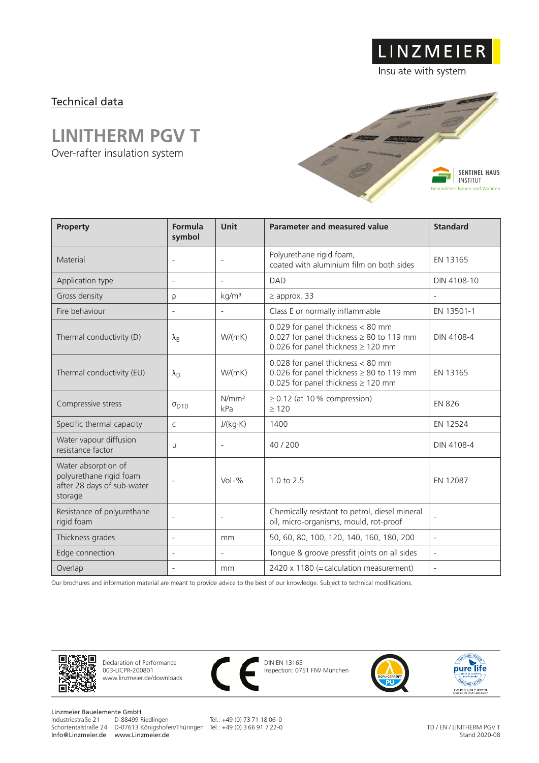## Technical data

## **LINITHERM PGV T**

Over-rafter insulation system



LINZMEIER

Insulate with system

| Property                                                                                | Formula<br>symbol        | Unit                     | <b>Parameter and measured value</b>                                                                                           | <b>Standard</b>          |
|-----------------------------------------------------------------------------------------|--------------------------|--------------------------|-------------------------------------------------------------------------------------------------------------------------------|--------------------------|
| Material                                                                                | $\overline{\phantom{a}}$ | $\overline{\phantom{a}}$ | Polyurethane rigid foam,<br>coated with aluminium film on both sides                                                          | EN 13165                 |
| Application type                                                                        | $\overline{\phantom{a}}$ | $\overline{\phantom{a}}$ | DAD                                                                                                                           | DIN 4108-10              |
| Gross density                                                                           | ρ                        | kg/m <sup>3</sup>        | $\geq$ approx. 33                                                                                                             |                          |
| Fire behaviour                                                                          | $\overline{a}$           | $\overline{\phantom{a}}$ | Class E or normally inflammable                                                                                               | EN 13501-1               |
| Thermal conductivity (D)                                                                | $\lambda_{\rm B}$        | W/(mK)                   | 0.029 for panel thickness < 80 mm<br>0.027 for panel thickness $\geq 80$ to 119 mm<br>0.026 for panel thickness $\geq$ 120 mm | DIN 4108-4               |
| Thermal conductivity (EU)                                                               | $\lambda_{\rm D}$        | W/(mK)                   | 0.028 for panel thickness < 80 mm<br>0.026 for panel thickness $\geq 80$ to 119 mm<br>0.025 for panel thickness $\geq$ 120 mm | EN 13165                 |
| Compressive stress                                                                      | $\sigma_{D10}$           | N/mm <sup>2</sup><br>kPa | $\geq$ 0.12 (at 10% compression)<br>>120                                                                                      | <b>EN 826</b>            |
| Specific thermal capacity                                                               | $\mathsf{C}$             | J/(kg·K)                 | 1400                                                                                                                          | EN 12524                 |
| Water vapour diffusion<br>resistance factor                                             | $\mu$                    | $\overline{\phantom{a}}$ | 40/200                                                                                                                        | DIN 4108-4               |
| Water absorption of<br>polyurethane rigid foam<br>after 28 days of sub-water<br>storage |                          | $Vol - %$                | 1.0 to 2.5                                                                                                                    | EN 12087                 |
| Resistance of polyurethane<br>rigid foam                                                | $\overline{a}$           | $\overline{\phantom{a}}$ | Chemically resistant to petrol, diesel mineral<br>oil, micro-organisms, mould, rot-proof                                      |                          |
| Thickness grades                                                                        | $\overline{\phantom{a}}$ | mm                       | 50, 60, 80, 100, 120, 140, 160, 180, 200                                                                                      | $\overline{\phantom{a}}$ |
| Edge connection                                                                         | $\overline{a}$           | $\overline{\phantom{a}}$ | Tongue & groove pressfit joints on all sides                                                                                  | $\overline{\phantom{a}}$ |
| Overlap                                                                                 |                          | mm                       | 2420 x 1180 (= calculation measurement)                                                                                       | $\overline{\phantom{a}}$ |

Our brochures and information material are meant to provide advice to the best of our knowledge. Subject to technical modifications.



Declaration of Performance 003-LICPR-200801 www.linzmeier.de/downloads



DIN EN 13165 Inspection: 0751 FIW München



**ENISSION TESTED** pure life eco-friendly<br>pure life is a seal of approval<br>issued by the UGPU association

Linzmeier Bauelemente GmbH<br>Industriestraße 21 D-88499 Riedlingen Info@Linzmeier.de www.Linzmeier.de

Schortentalstraße 24 D-07613 Königshofen/Thüringen Tel.: +49 (0) 3 66 91 7 22-0

Tel.: +49 (0) 73 71 18 06-0

TD / EN / LINITHERM PGV T Stand 2020-08